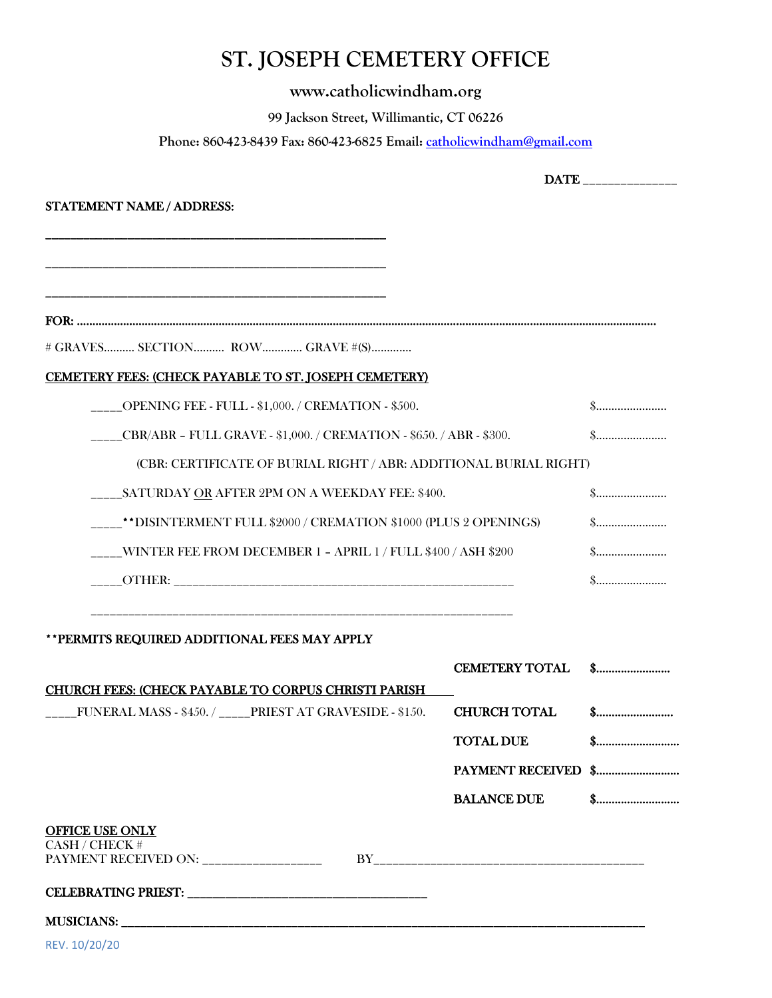## **ST. JOSEPH CEMETERY OFFICE**

## **www.catholicwindham.org**

**99 Jackson Street, Willimantic, CT 06226** 

**Phone: 860-423-8439 Fax: 860-423-6825 Email: [catholicwindham@gmail.com](mailto:catholicwindham@gmail.com)**

|                                                                         | DATE _______________  |                                                |
|-------------------------------------------------------------------------|-----------------------|------------------------------------------------|
| STATEMENT NAME / ADDRESS:                                               |                       |                                                |
|                                                                         |                       |                                                |
|                                                                         |                       |                                                |
|                                                                         |                       |                                                |
| # GRAVES SECTION ROW GRAVE #(S)                                         |                       |                                                |
| CEMETERY FEES: (CHECK PAYABLE TO ST. JOSEPH CEMETERY)                   |                       |                                                |
| ____OPENING FEE - FULL - \$1,000. / CREMATION - \$500.                  |                       | \$                                             |
| ____CBR/ABR - FULL GRAVE - \$1,000. / CREMATION - \$650. / ABR - \$300. |                       | $\$\ldots\ldots\ldots\ldots\ldots\ldots\ldots$ |
| (CBR: CERTIFICATE OF BURIAL RIGHT / ABR: ADDITIONAL BURIAL RIGHT)       |                       |                                                |
| ______ SATURDAY OR AFTER 2PM ON A WEEKDAY FEE: \$400.                   |                       | $\$\ldots\ldots\ldots\ldots\ldots\ldots\ldots$ |
| ____**DISINTERMENT FULL \$2000 / CREMATION \$1000 (PLUS 2 OPENINGS)     |                       | $\$\ldots\ldots\ldots\ldots\ldots\ldots\ldots$ |
| ____WINTER FEE FROM DECEMBER 1 - APRIL 1 / FULL \$400 / ASH \$200       |                       |                                                |
|                                                                         |                       | \$                                             |
| ** PERMITS REQUIRED ADDITIONAL FEES MAY APPLY                           |                       |                                                |
|                                                                         | <b>CEMETERY TOTAL</b> |                                                |
| <b>CHURCH FEES: (CHECK PAYABLE TO CORPUS CHRISTI PARISH</b>             |                       |                                                |
| FUNERAL MASS - \$450. / _____PRIEST AT GRAVESIDE - \$150.               | <b>CHURCH TOTAL</b>   |                                                |
|                                                                         | <b>TOTAL DUE</b>      |                                                |
|                                                                         |                       |                                                |
|                                                                         | <b>BALANCE DUE</b>    | \$                                             |
| OFFICE USE ONLY<br>CASH / CHECK #                                       |                       |                                                |
|                                                                         |                       |                                                |
|                                                                         |                       |                                                |
|                                                                         |                       |                                                |